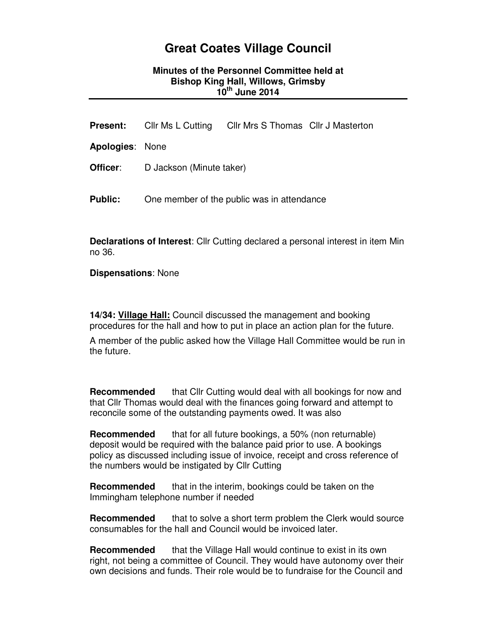# **Great Coates Village Council**

## **Minutes of the Personnel Committee held at Bishop King Hall, Willows, Grimsby 10th June 2014**

| Cllr Mrs S Thomas Cllr J Masterton |  |
|------------------------------------|--|
|                                    |  |

**Apologies**: None

- **Officer:** D Jackson (Minute taker)
- **Public:** One member of the public was in attendance

**Declarations of Interest**: Cllr Cutting declared a personal interest in item Min no 36.

### **Dispensations**: None

**14/34: Village Hall:** Council discussed the management and booking procedures for the hall and how to put in place an action plan for the future.

A member of the public asked how the Village Hall Committee would be run in the future.

**Recommended** that Cllr Cutting would deal with all bookings for now and that Cllr Thomas would deal with the finances going forward and attempt to reconcile some of the outstanding payments owed. It was also

**Recommended** that for all future bookings, a 50% (non returnable) deposit would be required with the balance paid prior to use. A bookings policy as discussed including issue of invoice, receipt and cross reference of the numbers would be instigated by Cllr Cutting

**Recommended** that in the interim, bookings could be taken on the Immingham telephone number if needed

**Recommended** that to solve a short term problem the Clerk would source consumables for the hall and Council would be invoiced later.

**Recommended** that the Village Hall would continue to exist in its own right, not being a committee of Council. They would have autonomy over their own decisions and funds. Their role would be to fundraise for the Council and